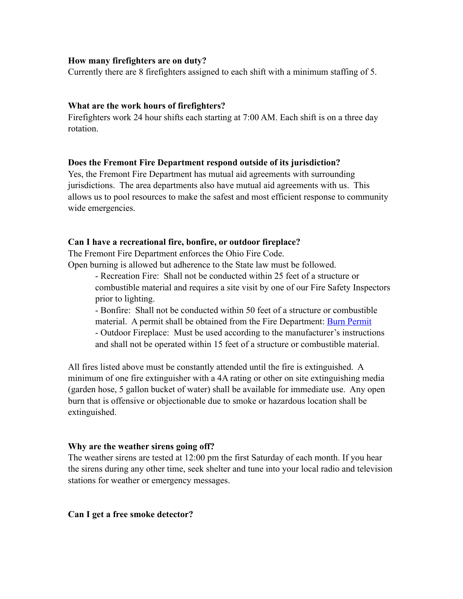# **How many firefighters are on duty?**

Currently there are 8 firefighters assigned to each shift with a minimum staffing of 5.

## **What are the work hours of firefighters?**

Firefighters work 24 hour shifts each starting at 7:00 AM. Each shift is on a three day rotation.

## **Does the Fremont Fire Department respond outside of its jurisdiction?**

Yes, the Fremont Fire Department has mutual aid agreements with surrounding jurisdictions. The area departments also have mutual aid agreements with us. This allows us to pool resources to make the safest and most efficient response to community wide emergencies.

## **Can I have a recreational fire, bonfire, or outdoor fireplace?**

The Fremont Fire Department enforces the Ohio Fire Code.

Open burning is allowed but adherence to the State law must be followed.

- Recreation Fire: Shall not be conducted within 25 feet of a structure or combustible material and requires a site visit by one of our Fire Safety Inspectors prior to lighting.

- Bonfire: Shall not be conducted within 50 feet of a structure or combustible material. A permit shall be obtained from the Fire Department: [Burn Permit](http://www.fremontohio.org/uploads/Fire%2520Dept/Burn%2520Permit.pdf)  - Outdoor Fireplace: Must be used according to the manufacturer's instructions and shall not be operated within 15 feet of a structure or combustible material.

All fires listed above must be constantly attended until the fire is extinguished. A minimum of one fire extinguisher with a 4A rating or other on site extinguishing media (garden hose, 5 gallon bucket of water) shall be available for immediate use. Any open burn that is offensive or objectionable due to smoke or hazardous location shall be extinguished.

#### **Why are the weather sirens going off?**

The weather sirens are tested at 12:00 pm the first Saturday of each month. If you hear the sirens during any other time, seek shelter and tune into your local radio and television stations for weather or emergency messages.

#### **Can I get a free smoke detector?**